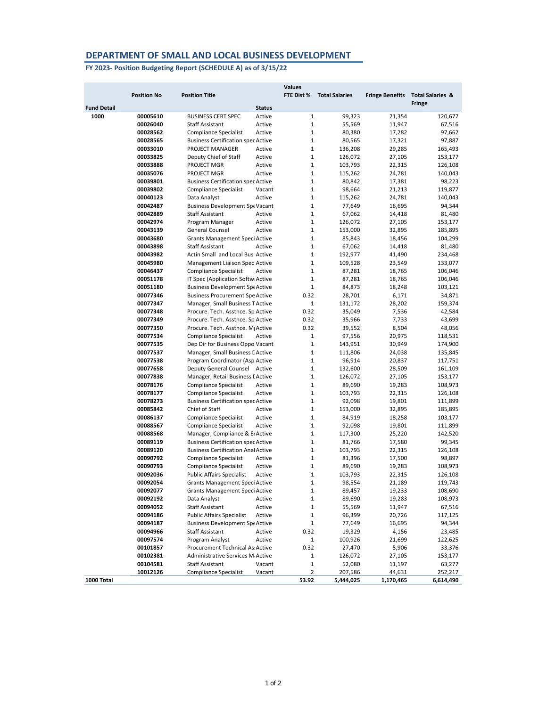## **DEPARTMENT OF SMALL AND LOCAL BUSINESS DEVELOPMENT**

**FY 2023- Position Budgeting Report (SCHEDULE A) as of 3/15/22**

|                    |                    |                                               | <b>Values</b> |                       |                        |                             |
|--------------------|--------------------|-----------------------------------------------|---------------|-----------------------|------------------------|-----------------------------|
|                    | <b>Position No</b> | <b>Position Title</b>                         | FTE Dist %    | <b>Total Salaries</b> | <b>Fringe Benefits</b> | <b>Total Salaries &amp;</b> |
|                    |                    |                                               |               |                       |                        | <b>Fringe</b>               |
| <b>Fund Detail</b> |                    | <b>Status</b>                                 |               |                       |                        |                             |
| 1000               | 00005610           | <b>BUSINESS CERT SPEC</b><br>Active           | 1             | 99,323                | 21,354                 | 120,677                     |
|                    | 00026040           | <b>Staff Assistant</b><br>Active              | $\mathbf{1}$  | 55,569                | 11,947                 | 67,516                      |
|                    | 00028562           | <b>Compliance Specialist</b><br>Active        | 1             | 80,380                | 17,282                 | 97,662                      |
|                    | 00028565           | <b>Business Certification spec Active</b>     | $\mathbf{1}$  | 80,565                | 17,321                 | 97,887                      |
|                    | 00033010           | PROJECT MANAGER<br>Active                     | 1             | 136,208               | 29,285                 | 165,493                     |
|                    | 00033825           | Deputy Chief of Staff<br>Active               | $\mathbf{1}$  | 126,072               | 27,105                 | 153,177                     |
|                    | 00033888           | PROJECT MGR<br>Active                         | $\mathbf{1}$  | 103,793               | 22,315                 | 126,108                     |
|                    | 00035076           | PROJECT MGR<br>Active                         | 1             | 115,262               | 24,781                 | 140,043                     |
|                    | 00039801           | <b>Business Certification spec Active</b>     | $\mathbf{1}$  | 80,842                | 17,381                 | 98,223                      |
|                    | 00039802           | <b>Compliance Specialist</b><br>Vacant        | 1             | 98,664                | 21,213                 | 119,877                     |
|                    | 00040123           | Data Analyst<br>Active                        | 1             | 115,262               | 24,781                 | 140,043                     |
|                    | 00042487           | <b>Business Development Spe Vacant</b>        | 1             | 77,649                | 16,695                 | 94,344                      |
|                    | 00042889           | <b>Staff Assistant</b><br>Active              | 1             | 67,062                | 14,418                 | 81,480                      |
|                    | 00042974           | Program Manager<br>Active                     | 1             | 126,072               | 27,105                 | 153,177                     |
|                    | 00043139           | <b>General Counsel</b><br>Active              | $\mathbf{1}$  | 153,000               | 32,895                 | 185,895                     |
|                    | 00043680           | <b>Grants Management Speci Active</b>         | $\mathbf{1}$  | 85,843                | 18,456                 | 104,299                     |
|                    | 00043898           | <b>Staff Assistant</b><br>Active              | 1             | 67,062                | 14,418                 | 81,480                      |
|                    | 00043982           | Actin Small and Local Bus Active              | 1             | 192,977               | 41,490                 | 234,468                     |
|                    | 00045980           | Management Liaison Spec Active                | 1             | 109,528               | 23,549                 | 133,077                     |
|                    | 00046437           | <b>Compliance Specialist</b><br>Active        | 1             | 87,281                | 18,765                 | 106,046                     |
|                    | 00051178           | IT Spec (Application Softw Active             | 1             | 87,281                | 18,765                 | 106,046                     |
|                    | 00051180           | <b>Business Development Spe Active</b>        | 1             | 84,873                | 18,248                 | 103,121                     |
|                    | 00077346           | <b>Business Procurement Spe Active</b>        | 0.32          | 28,701                | 6,171                  | 34,871                      |
|                    | 00077347           | Manager, Small Business T Active              | 1             | 131,172               | 28,202                 | 159,374                     |
|                    | 00077348           | Procure. Tech. Asstnce. Sp Active             | 0.32          | 35,049                | 7,536                  | 42,584                      |
|                    |                    |                                               |               |                       |                        |                             |
|                    | 00077349           | Procure. Tech. Asstnce. Sp Active             | 0.32          | 35,966                | 7,733                  | 43,699                      |
|                    | 00077350           | Procure. Tech. Asstnce. M <sub>i</sub> Active | 0.32          | 39,552                | 8,504                  | 48,056                      |
|                    | 00077534           | <b>Compliance Specialist</b><br>Active        | 1             | 97,556                | 20,975                 | 118,531                     |
|                    | 00077535           | Dep Dir for Business Oppo Vacant              | 1             | 143,951               | 30,949                 | 174,900                     |
|                    | 00077537           | Manager, Small Business C Active              | $\mathbf{1}$  | 111,806               | 24,038                 | 135,845                     |
|                    | 00077538           | Program Coordinator (Asp Active               | 1             | 96,914                | 20,837                 | 117,751                     |
|                    | 00077658           | Deputy General Counsel Active                 | 1             | 132,600               | 28,509                 | 161,109                     |
|                    | 00077838           | Manager, Retail Business I Active             | 1             | 126,072               | 27,105                 | 153,177                     |
|                    | 00078176           | <b>Compliance Specialist</b><br>Active        | $\mathbf{1}$  | 89,690                | 19,283                 | 108,973                     |
|                    | 00078177           | <b>Compliance Specialist</b><br>Active        | 1             | 103,793               | 22,315                 | 126,108                     |
|                    | 00078273           | <b>Business Certification spec Active</b>     | 1             | 92,098                | 19,801                 | 111,899                     |
|                    | 00085842           | Chief of Staff<br>Active                      | 1             | 153,000               | 32,895                 | 185,895                     |
|                    | 00086137           | <b>Compliance Specialist</b><br>Active        | 1             | 84,919                | 18,258                 | 103,177                     |
|                    | 00088567           | <b>Compliance Specialist</b><br>Active        | 1             | 92,098                | 19,801                 | 111,899                     |
|                    | 00088568           | Manager, Compliance & El Active               | 1             | 117,300               | 25,220                 | 142,520                     |
|                    | 00089119           | <b>Business Certification spec Active</b>     | 1             | 81,766                | 17,580                 | 99,345                      |
|                    | 00089120           | <b>Business Certification Anal Active</b>     | 1             | 103,793               | 22,315                 | 126,108                     |
|                    | 00090792           | <b>Compliance Specialist</b><br>Active        | 1             | 81,396                | 17,500                 | 98,897                      |
|                    | 00090793           | <b>Compliance Specialist</b><br>Active        | $\mathbf{1}$  | 89,690                | 19,283                 | 108,973                     |
|                    | 00092036           | <b>Public Affairs Specialist</b><br>Active    | 1             | 103,793               | 22,315                 | 126,108                     |
|                    | 00092054           | <b>Grants Management Speci Active</b>         | 1             | 98,554                | 21,189                 | 119,743                     |
|                    | 00092077           | <b>Grants Management Speci Active</b>         | 1             | 89,457                | 19,233                 | 108,690                     |
|                    | 00092192           | Data Analyst<br>Active                        | 1             | 89,690                | 19,283                 | 108,973                     |
|                    | 00094052           | <b>Staff Assistant</b><br>Active              | 1             | 55,569                | 11,947                 | 67,516                      |
|                    | 00094186           | <b>Public Affairs Specialist</b><br>Active    | 1             | 96,399                | 20,726                 | 117,125                     |
|                    | 00094187           | <b>Business Development Spe Active</b>        | 1             | 77,649                | 16,695                 | 94,344                      |
|                    | 00094966           | <b>Staff Assistant</b><br>Active              | 0.32          | 19,329                | 4,156                  | 23,485                      |
|                    | 00097574           | Program Analyst<br>Active                     | 1             | 100,926               | 21,699                 | 122,625                     |
|                    | 00101857           | Procurement Technical As Active               | 0.32          | 27,470                | 5,906                  | 33,376                      |
|                    | 00102381           | Administrative Services M Active              | 1             | 126,072               | 27,105                 | 153,177                     |
|                    | 00104581           | <b>Staff Assistant</b><br>Vacant              | 1             | 52,080                | 11,197                 | 63,277                      |
|                    | 10012126           | <b>Compliance Specialist</b><br>Vacant        | 2             | 207,586               | 44,631                 |                             |
|                    |                    |                                               | 53.92         |                       |                        | 252,217                     |
| 1000 Total         |                    |                                               |               | 5,444,025             | 1,170,465              | 6,614,490                   |